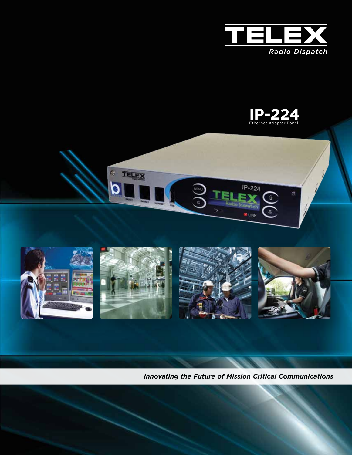



*Innovating the Future of Mission Critical Communications*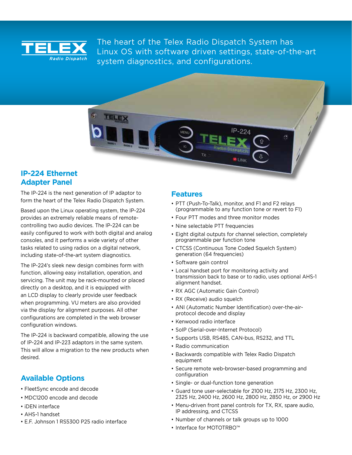

The heart of the Telex Radio Dispatch System has Linux OS with software driven settings, state-of-the-art system diagnostics, and configurations.

**IP-224 Ethernet Adapter Panel**

The IP-224 is the next generation of IP adaptor to form the heart of the Telex Radio Dispatch System.

Based upon the Linux operating system, the IP-224 provides an extremely reliable means of remotecontrolling two audio devices. The IP-224 can be easily configured to work with both digital and analog consoles, and it performs a wide variety of other tasks related to using radios on a digital network, including state-of-the-art system diagnostics.

The IP-224's sleek new design combines form with function, allowing easy installation, operation, and servicing. The unit may be rack-mounted or placed directly on a desktop, and it is equipped with an LCD display to clearly provide user feedback when programming. VU meters are also provided via the display for alignment purposes. All other configurations are completed in the web browser configuration windows.

The IP-224 is backward compatible, allowing the use of IP-224 and IP-223 adaptors in the same system. This will allow a migration to the new products when desired.

## **Available Options**

- FleetSync encode and decode
- MDC1200 encode and decode
- iDEN interface
- AHS-1 handset
- E.F. Johnson 1 RS5300 P25 radio interface

### **Features**

• PTT (Push-To-Talk), monitor, and F1 and F2 relays (programmable to any function tone or revert to F1)

LINK

- Four PTT modes and three monitor modes
- Nine selectable PTT frequencies
- Eight digital outputs for channel selection, completely programmable per function tone
- CTCSS (Continuous Tone Coded Squelch System) generation (64 frequencies)
- Software gain control
- Local handset port for monitoring activity and transmission back to base or to radio, uses optional AHS-1 alignment handset.
- RX AGC (Automatic Gain Control)
- RX (Receive) audio squelch
- ANI (Automatic Number Identification) over-the-airprotocol decode and display
- Kenwood radio interface
- SoIP (Serial-over-Internet Protocol)
- Supports USB, RS485, CAN-bus, RS232, and TTL
- Radio communication
- Backwards compatible with Telex Radio Dispatch equipment
- Secure remote web-browser-based programming and configuration
- Single- or dual-function tone generation
- Guard tone user-selectable for 2100 Hz, 2175 Hz, 2300 Hz, 2325 Hz, 2400 Hz, 2600 Hz, 2800 Hz, 2850 Hz, or 2900 Hz
- Menu-driven front panel controls for TX, RX, spare audio, IP addressing, and CTCSS
- Number of channels or talk groups up to 1000
- Interface for MOTOTRBO™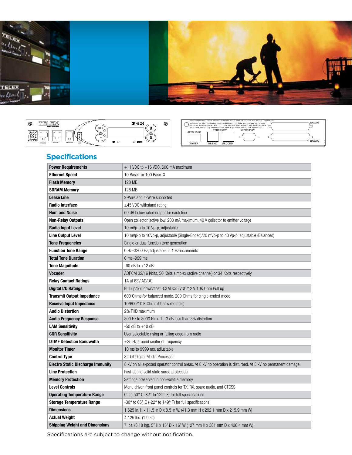





## **Specifications**

| <b>Power Requirements</b>                | $+11$ VDC to $+16$ VDC, 600 mA maximum                                                                      |
|------------------------------------------|-------------------------------------------------------------------------------------------------------------|
| <b>Ethernet Speed</b>                    | 10 BaseT or 100 BaseTX                                                                                      |
| <b>Flash Memory</b>                      | 128 MB                                                                                                      |
| <b>SDRAM Memory</b>                      | 128 MB                                                                                                      |
| <b>Lease Line</b>                        | 2-Wire and 4-Wire supported                                                                                 |
| <b>Radio Interface</b>                   | $\pm$ 45 VDC withstand rating                                                                               |
| <b>Hum and Noise</b>                     | 60 dB below rated output for each line                                                                      |
| <b>Non-Relay Outputs</b>                 | Open collector, active low, 200 mA maximum, 40 V collector to emitter voltage                               |
| <b>Radio Input Level</b>                 | 10 mVp-p to 10 Vp-p, adjustable                                                                             |
| <b>Line Output Level</b>                 | 10 mVp-p to 10Vp-p, adjustable (Single-Ended)/20 mVp-p to 40 Vp-p, adjustable (Balanced)                    |
| <b>Tone Frequencies</b>                  | Single or dual function tone generation                                                                     |
| <b>Function Tone Range</b>               | 0 Hz-3200 Hz, adjustable in 1 Hz increments                                                                 |
| <b>Total Tone Duration</b>               | 0 ms-999 ms                                                                                                 |
| <b>Tone Magnitude</b>                    | $-60$ dB to $+12$ dB                                                                                        |
| <b>Vocoder</b>                           | ADPCM 32/16 Kbits, 50 Kbits simplex (active channel) or 34 Kbits respectively                               |
| <b>Relay Contact Ratings</b>             | 1A at 63V AC/DC                                                                                             |
| <b>Digital I/O Ratings</b>               | Pull up/pull down/float 3.3 VDC/5 VDC/12 V 10K Ohm Pull up                                                  |
| <b>Transmit Output Impedance</b>         | 600 Ohms for balanced mode, 200 Ohms for single-ended mode                                                  |
| <b>Receive Input Impedance</b>           | 10/600/10 K Ohms (User-selectable)                                                                          |
| <b>Audio Distortion</b>                  | 2% THD maximum                                                                                              |
| <b>Audio Frequency Response</b>          | 300 Hz to 3000 Hz $+$ 1, -3 dB less than 3% distortion                                                      |
| <b>LAM Sensitivity</b>                   | $-50$ dB to $+10$ dB                                                                                        |
| <b>COR Sensitivity</b>                   | User selectable rising or falling edge from radio                                                           |
| <b>DTMF Detection Bandwidth</b>          | $\pm 25$ Hz around center of frequency                                                                      |
| <b>Monitor Timer</b>                     | 10 ms to 9999 ms, adjustable                                                                                |
| <b>Control Type</b>                      | 32-bit Digital Media Processor                                                                              |
| <b>Electro Static Discharge Immunity</b> | 8 kV on all exposed operator control areas. At 8 kV no operation is disturbed. At 8 kV no permanent damage. |
| <b>Line Protection</b>                   | Fast-acting solid state surge protection                                                                    |
| <b>Memory Protection</b>                 | Settings preserved in non-volatile memory                                                                   |
| <b>Level Controls</b>                    | Menu driven front panel controls for TX, RX, spare audio, and CTCSS                                         |
| <b>Operating Temperature Range</b>       | $0^{\circ}$ to $50^{\circ}$ C (32 $^{\circ}$ to 122 $^{\circ}$ F) for full specifications                   |
| <b>Storage Temperature Range</b>         | -30° to 65° C (-22° to 149° F) for full specifications                                                      |
| <b>Dimensions</b>                        | 1.625 in. H x 11.5 in D x 8.5 in W. (41.3 mm H x 292.1 mm D x 215.9 mm W)                                   |
| <b>Actual Weight</b>                     | 4.125 lbs. (1.9 kg)                                                                                         |
| <b>Shipping Weight and Dimensions</b>    | 7 lbs. (3.18 kg), 5" H x 15" D x 16" W (127 mm H x 381 mm D x 406.4 mm W)                                   |

Specifications are subject to change without notification.